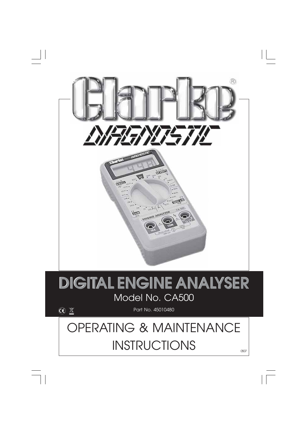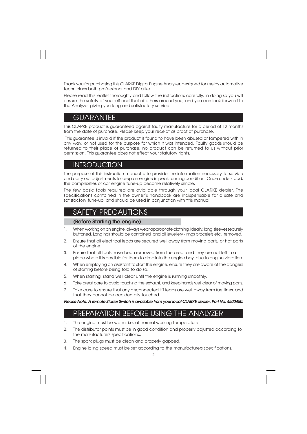Thank you for purchasing this CLARKE Digital Engine Analyzer, designed for use by automotive technicians both professional and DIY alike.

Please read this leaflet thoroughly and follow the instructions carefully, in doing so you will ensure the safety of yourself and that of others around you, and you can look forward to the Analyzer giving you long and satisfactory service.

## GUARANTEE

This CLARKE product is guaranteed against faulty manufacture for a period of 12 months from the date of purchase. Please keep your receipt as proof of purchase.

 This guarantee is invalid if the product is found to have been abused or tampered with in any way, or not used for the purpose for which it was intended. Faulty goods should be returned to their place of purchase, no product can be returned to us without prior permission. This guarantee does not effect your statutory rights.

## **INTRODUCTION**

The purpose of this instruction manual is to provide the information necessary to service and carry out adjustments to keep an engine in peak running condition. Once understood, the complexities of car engine tune-up become relatively simple.

The few basic tools required are aviailable through your local CLARKE dealer. The specifications contained in the owner's handbook are indispensable for a safe and satisfactory tune-up, and should be used in conjunction with this manual.

## SAFETY PRECAUTIONS

#### **(Before Starting the engine)**

- 1. When working on an engine, always wear appropriate clothing. Ideally, long sleeves securely buttoned. Long hair should be contained, and all jewellery - rings bracelets etc., removed.
- 2. Ensure that all electrical leads are secured well away from moving parts, or hot parts of the engine.
- 3. Ensure that all tools have been removed from the area, and they are not left in a place where it is possible for them to drop into the engine bay, due to engine vibration.
- 4. When employing an assistant to start the engine, ensure they are aware of the dangers of starting before being told to do so.
- 5. When starting, stand well clear until the engine is running smoothly.
- 6. Take great care to avoid touching the exhaust, and keep hands well clear of moving parts.
- 7. Take care to ensure that any disconnected HT leads are well away from fuel lines, and that they cannot be accidentally touched.

**Please Note: A remote Starter Switch is available from your local CLARKE dealer, Part No. 4500450.**

## PREPARATION BEFORE USING THE ANALYZER

- 1. The engine must be warm, i.e. at normal working temperature.
- 2. The distributor points must be in good condition and properly adjusted according to the manufacturers specifications..
- 3. The spark plugs must be clean and properly gapped.
- 4. Engine idling speed must be set according to the manufacturers specifications.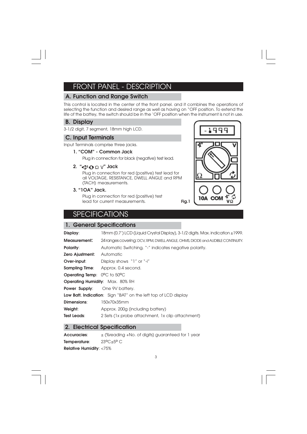# FRONT PANEL - DESCRIPTION

### **A. Function and Range Switch**

This control is located in the center of the front panel. and it combines the operations of selecting the function and desired range as well as having on "OFF position. To extend the life of the battey, the switch should be in the 'OFF position when the instrument is not in use.

#### **B. Display**

3-1/2 digit, 7 segment, 18mm high LCD.

#### **C. Input Terminals**

Input Terminals comprise three jacks.

### **1. "COM" - Common Jack**

Plug in connection for black (negative) test lead.

### **2.** "←  $\Phi$   $\Omega$   $\vee$ " Jack

Plug in connection for red (positive) test lead for all VOLTAGE, RESISTANCE, DWELL ANGLE and RPM (TACH) measurements.

**3. "1OA" Jack.**

Plug in connection for red (positive) test lead for current measurements.



## **SPECIFICATIONS**

### **1. General Specifications**

| Display:                               | 18mm (0.7') LCD (Liquid Crystal Display), 3-1/2 digits. Max. indication ±1999. |  |  |  |
|----------------------------------------|--------------------------------------------------------------------------------|--|--|--|
| Measurement:                           | 24 ranges covering: DCV, RPM, DWELL ANGLE, OHMS, DIODE and AUDIBLE CONTINUITY. |  |  |  |
| <b>Polarity:</b>                       | Automatic Switching, "-" indicates negative polarity.                          |  |  |  |
| Zero Ajustment:                        | Automatic                                                                      |  |  |  |
| Over-input:                            | Display shows "1" or "-i"                                                      |  |  |  |
|                                        | <b>Sampling Time:</b> Approx. 0.4 second.                                      |  |  |  |
| <b>Operating Temp:</b> 0°C to 50°C     |                                                                                |  |  |  |
| <b>Operating Humidity: Max. 80% RH</b> |                                                                                |  |  |  |
| Power Supply:                          | One 9V battery.                                                                |  |  |  |
|                                        | <b>Low Batt. Indication:</b> Sign "BAT" on the left top of LCD display         |  |  |  |
| Dimensions:                            | 150x70x35mm                                                                    |  |  |  |
| Weight:                                | Approx. 200g (including battery)                                               |  |  |  |
| <b>Test Leads:</b>                     | 2 Sets (1x probe attachment, 1x clip attachment)                               |  |  |  |
|                                        |                                                                                |  |  |  |

### **2. Electrical Specification**

**Accuracies:**  $\qquad \pm$  (%reading +No. of digits) guaranteed for 1 year **Temperature:** 23°C±5° C **Relative Humidity**: <75%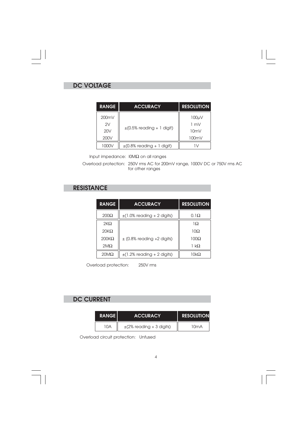# **DC VOLTAGE**

 $\begin{array}{c|c} \hline \quad \quad & \quad \quad & \quad \quad \\ \hline \quad \quad & \quad \quad & \quad \quad \\ \hline \end{array}$ 

 $\overline{\neg}$ 

| <b>RANGE</b> | <b>ACCURACY</b>                | <b>RESOLUTION</b> |
|--------------|--------------------------------|-------------------|
| 200mV        |                                | 100 <sub>W</sub>  |
| 2V           |                                | $1 \text{ mV}$    |
| 20V          | $\pm$ (0.5% reading + 1 digit) | 10 $mV$           |
| 200V         |                                | 100mV             |
| 1000V        | $\pm$ (0.8% reading + 1 digit) |                   |

Input impedance:  $IOM\Omega$  on all ranges

Overload protection: 250V rms AC for 200mV range, 1000V DC or 750V rms AC for other ranges

# **RESISTANCE**

| <b>RANGE</b> | <b>ACCURACY</b>                 | <b>RESOLUTION</b> |
|--------------|---------------------------------|-------------------|
| $200\Omega$  | $\pm$ (1.0% reading + 2 digits) | $0.1\Omega$       |
| $2K\Omega$   |                                 | $1\Omega$         |
| $20K\Omega$  |                                 | $10\Omega$        |
| $200K\Omega$ | $\pm$ (0.8% reading +2 digits)  | $100\Omega$       |
| $2M\Omega$   |                                 | 1 kΩ              |
| $20M\Omega$  | $\pm$ (1.2% reading + 2 digits) | 10k $\Omega$      |

Overload protection: 250V rms

## **DC CURRENT**

| <b>RANGE</b> | <b>ACCURACY</b>               | <b>RESOLUTION</b> |  |
|--------------|-------------------------------|-------------------|--|
| 10A          | $\pm$ (2% reading + 3 digits) | 10mA              |  |

Overload circuit protection: Unfused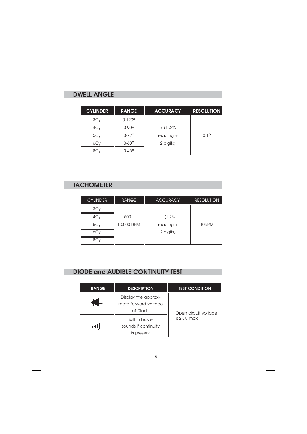# **DWELL ANGLE**

 $\mathbf{\underline{}}$ 

 $\frac{1}{\sqrt{2}}$ 

| <b>CYLINDER</b> | <b>RANGE</b>      | <b>ACCURACY</b> | <b>RESOLUTION</b> |
|-----------------|-------------------|-----------------|-------------------|
| 3Cyl            | $0 - 120^{\circ}$ |                 |                   |
| 4Cyl            | $0 - 90^{\circ}$  | $\pm$ (1.2%     |                   |
| 5Cyl            | $0 - 72$ °        | $reading +$     | $0.1^{\circ}$     |
| 6Cyl            | $0 - 60^{\circ}$  | 2 digits)       |                   |
|                 | $0 - 45^{\circ}$  |                 |                   |

 $\sqrt{-}$ 

# **TACHOMETER**

| <b>CYLINDER</b> | <b>RANGE</b> | <b>ACCURACY</b> | <b>RESOLUTION</b> |
|-----------------|--------------|-----------------|-------------------|
| 3Cyl            |              |                 |                   |
| 4Cyl            | $500 -$      | $±$ (1.2%       |                   |
| 5Cyl            | 10,000 RPM   | $reading +$     | 10RPM             |
| 6Cyl            |              | 2 digits)       |                   |
| 8Cv             |              |                 |                   |

# **DIODE and AUDIBLE CONTINUITY TEST**

| <b>RANGE</b>                                             | <b>DESCRIPTION</b>                                           | <b>TEST CONDITION</b> |
|----------------------------------------------------------|--------------------------------------------------------------|-----------------------|
| Display the approxi-<br>mate forward voltage<br>of Diode |                                                              | Open circuit voltage  |
| o)}}                                                     | <b>Built in buzzer</b><br>sounds if continuity<br>is present | is $2.8V$ max.        |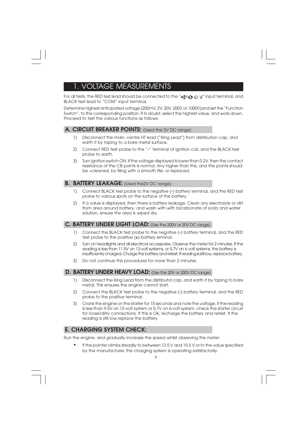# 1. VOLTAGE MEASUREMENTS

For all tests, the RED test lead should be connected to the " $\bigoplus$   $\bigcirc$   $\bigcirc$   $\bigvee$ " input terminal, and BLACK test lead to "COM" input terminal.

Determine highest anticipated voltage (200mV, 2V, 20V, 200V or 1000V)and set the "Function Switch", to the corresponding position. If in doubt, select the highest value, and work down. Proceed to test the various functions as follows:

#### **A. CIRCUIT BREAKER POINTS:** (Used the 2V DC range)

- 1) Disconnect the main, centre HT lead ("King Lead") from distribution cap, and earth it by taping to a bare metal surface.
- 2) Connect RED test probe to the "**-**" terminal of ignition coil, and the BLACK test probe to earth.
- 3) Turn ignition switch ON. If the voltage displayed is lower than 0.2V, then the contact resistance of the CB points is normal. Any higher than this, and the points should be +cleaned, by filing with a smooth file, or replaced.

#### **B. BATTERY LEAKAGE:** (Used the2V DC range)

- 1) Connect BLACK test probe to the negative (**-**) battery terminal, and the RED test probe to various spots on the surface of the battery.
- 2) If a value is displayed, then there is battery leakage. Clean any electrolyte or dirt from area around battery, and wash with with bicarbonate of soda and water solution, ensure the area is wiped dry.

## **C. BATTERY UNDER LIGHT LOAD:** (Use the 200V or 20V DC range)

- 1) Connect the BLACK test probe to the negative (**-**) battery terminal, and the RED test probe to the positive (**+**) battery erminal.
- 2) Turn on headlights and all electrical accessories. Observe the meter for 2 minutes. If the reading is less than 11.5V on 12-volt systems, or 5.7V on 6 volt systems, the battery is insufficiently charged. Charge the battery and retest. If reading is still low, replace battery.
- 3) Do not continue this procedures for more than 2 minutes.

#### **D. BATTERY UNDER HEAVY LOAD:** (Use the 20V or 200V DC range)

- 1) Disconnect the King Lead from the distributor cap, and earth it by taping to bare metal. This ensures the engine cannot start.
- 2) Connect the BLACK test probe to the negative (**-**) battery terminal, and the RED probe to the positive terminal.
- 3) Crank the engine on the starter for 15 seconds and note the voltage. If the reading is less than 9.5V on 12-volt system or 5.7V on 6-volt system, check the starter circuit for loose/dirty connections. If this is OK, recharge the battery and retest. If the reading is still low,replace the battery.

## **E. CHARGING SYSTEM CHECK:**

Run the engine, and gradually increase the speed whilst observing the meter:

**•** if the pointer climbs steadily to between 13.5 V and 15.5 V or to the value specified by the manufacturer, the charging system is operating satisfactorily.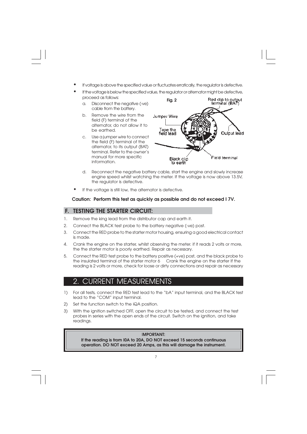- **•** If voltage is above the specified value or fluctuates erratically, the regulator is defective.
- **•** If the voltage is below the specified value, the regulator or alternator might be defective, proceed as follows: **Fig. 2**
	- a. Disconnect the negative (-ve) cable from the battery.
	- b. Remove the wire from the field (F) terminal of the alternator, do not allow it to be earthed.
	- c. Use a jumper wire to connect the field (F) terminal of the alternator, to its output (BAT) terminal. Refer to the owner's manual for more specific information.



- d. Reconnect the negative battery cable, start the engine and slowly increase engine speed whilst watching the meter. If the voltage is now above 13.5V, the regulator is defective.
- **•** If the voltage is still low, the alternator is defective.

#### **Caution: Perform this test as quickly as possible and do not exceed I 7V.**

### **F. TESTING THE STARTER CIRCUIT:**

- 1. Remove the king lead from the distributor cap and earth it.
- 2. Connect the BLACK test probe to the battery negative (-ve) post.
- 3. Connect the RED probe to the starter motor housing, ensuring a good electrical contact is made.
- 4. Crank the engine on the starter, whilst observing the meter. if it reads 2 volts or more, the the starter motor is poorly earthed. Repair as necessary.
- 5. Connect the RED test probe to the battery positive (+ve) post, and the black probe to the insulated terminal of the starter motor 6 Crank the engine on the starter If the reading is 2 volts or more, check for loose or dirty connections and repair as necessary

## 2. CURRENT MEASUREMENTS

- 1) For all tests, connect the RED test lead to the "bA" input terminal, and the BLACK test lead to the "COM" input terminal.
- 2) Set the function switch to the iQA position.
- 3) With the ignition switched OFF, open the circuit to be tested, and connect the test probes in series with the open ends of the circuit. Switch on the ignition, and take readings.

#### I**MPORTANT:**

**If the reading is from I0A to 20A, DO NOT exceed 15 seconds continuous operation. DO NOT exceed 20 Amps, as this will damage the instrument.**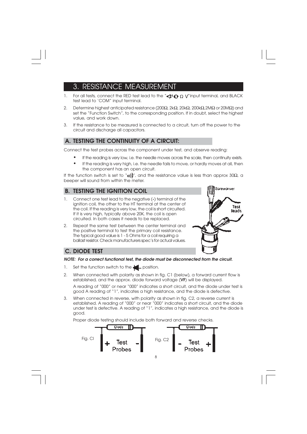# 3. RESISTANCE MEASUREMENT

- 1. For all tests, connect the RED test lead to the " $\blacktriangleleft$ "  $\Omega$  V" input terminal, and BLACK test lead to 'COM" input terminal.
- 2. Determine highest anticipated resistance (200Ω, 2kΩ, 20kΩ, 200kΩ,2MΩ or 20MΩ) and set the "Function Switch", to the corresponding position. If in doubt, select the highest value, and work down.
- 3. If the resistance to be measured is connected to a circuit, turn off the power to the circuit and discharge all capacitors.

### **A. TESTING THE CONTINUITY OF A CIRCUIT:**

Connect the test probes across the component under test, and observe reading:

- **•** If the reading is very low, i.e. the needle moves across the scale, then continuity exists.
- **•** If the reading is very high, i.e. the needle fails to move, or hardly moves at all, then the component has an open circuit.

If the function switch is set to " $_{0}$ ))", and the resistance value is less than approx 30 $\Omega$ , a beeper will sound from within the meter.

## **B. TESTING THE IGNITION COIL**

- 1. Connect one test lead to the negative (**-**) terminal of the ignition coil, the other to the HT terminal at the center of the coil. If the reading is very low, the coil is short circuited. If it is very high, typically above 20K, the coil is open circuited. In both cases it needs to be replaced.
- 2. Repeat the same test between the center terminal and the positive terminal to test the primary coil resistance. The typical good value is 1 - 5 Ohms for a coil requiring a ballast resistor. Check manufacturers spec's for actual values.



### **C. DIODE TEST**

#### **NOTE: For a correct functional test, the diode must be disconnected from the circuit.**

- 1. Set the function switch to the  $\blacksquare$  position.
- 2. When connected with polarity as shown in fig. C1 (below), a forward current flow is established, and the approx. diode forward voltage (**VF**) will be displayed. A reading of "000" or near "000" indicates a short circuit, and the diode under test is good A reading of "1", indicates a high resistance, and the diode is defective.
- 3. When connected in reverse, with polarity as shown in fig. C2, a reverse current is established. A reading of "000" or near "000" indicates a short circuit, and the diode under test is defective. A reading of "1", indicates a high resistance, and the diode is good.

Proper diode testing should include both forward and reverse checks.

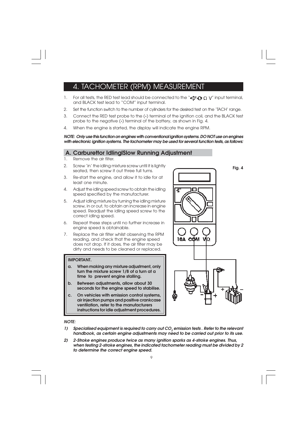## 4. TACHOMETER (RPM) MEASUREMENT

- 1. For all tests, the RED test lead should be connected to the " $\bigcirc$   $\bigcirc$   $\bigcirc$   $\bigvee$ " input terminal, and BLACK test lead to "COM" input terminal.
- 2. Set the function switch to the number of cylinders for the desired test on the 'TACH' range.
- 3. Connect the RED test probe to the (**-**) terminal of the ignition coil, and the BLACK test probe to the negative (**-**) terminal of the battery, as shown in Fig. 4.
- 4. When the engine is started, the display will indicate the engine RPM.

#### **NOTE: Only use this function on engines with conventional ignition systems. DO NOT use on engines with electronic ignition systems. The tachometer may be used for several function tests, as follows:**

#### **A. Carburettor IdlinglSlow Running Adjustment**

- 1. Remove the air filter.
- 2. Screw 'in' the idling mixture screw until it is lightly seated, then screw it out three full turns.
- 3. Re-start the engine, and allow it to idle for at least one minute.
- 4. Adjust the idling speed screw to obtain the idling speed specified by the manufacturer.
- 5. Adjust idling mixture by turning the idling mixture screw, in or out, to obtain an increase in engine speed. Readjust the idling speed screw to the correct idling speed.
- 6. Repeat these steps until no further increase in engine speed is obtainable.
- 7. Replace the air filter whilst observing the RPM reading, and check that the engine speed does not drop. If it does, the air filter may be dirty and needs to be cleaned or replaced.

#### **IMPORTANT.**

- **a. When making any mixture adjustment, only turn the mixture screw 1/8 of a turn at a time to prevent engine stalling.**
- **b. Between adjustments, allow about 30 seconds for the engine speed to stabilise.**
- **c. On vehicles with emission control systems, air injection pumps and positive crankcase ventilation, refer to the manufacturers instructions for idle adjustment procedures.**



#### **NOTE:**

- **1) Specialised equipment is required to carry out CO<sup>2</sup> emission tests . Refer to the relevant handbook, as certain engine adjustments may need to be carried out prior to its use.**
- **2) 2-Stroke engines produce twice as many ignition sparks as 4-stroke engines. Thus, when testing 2-stroke engines, the indicated tachometer reading must be divided by 2 to determine the correct engine speed.**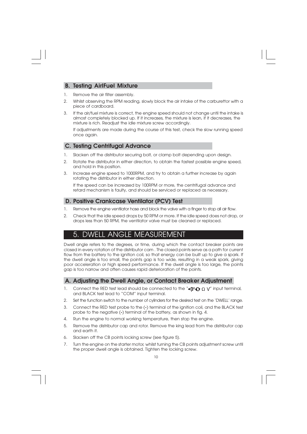#### **B. Testing AirIFuel Mixture**

- 1. Remove the air filter assembly.
- 2. Whilst observing the RPM reading, slowly block the air intake of the carburettor with a piece of cardboard.
- 3. If the air/fuel mixture is correct, the engine speed should not change until the intake is almost completely blocked up. If it increases, the mixture is lean, if it decreases, the mixture is rich. Readjust the idle mixture screw accordingly.

If adjustments are made during the course of this test, check the slow running speed once again.

### **C. Testing Centrifugal Advance**

- 1. Slacken off the distributor securing bolt, or clamp bolt depending upon design.
- 2. Rotate the distributor in either direction, to obtain the fastest possible engine speed, and hold in this position.
- 3. Increase engine speed to 1000RPM, and try to obtain a further increase by again rotating the distributor in either direction.

If the speed can be increased by 100RPM or more, the centrifugal advance and retard mechanism is faulty, and should be serviced or replaced as necessary.

### **D. Positive Crankcase Ventilator (PCV) Test**

- 1. Remove the engine ventilator hose and block the valve with a finger to stop all air flow.
- 2. Check that the idle speed drops by 50 RPM or more. If the idle speed does not drop, or drops less than 50 RPM, the ventilator valve must be cleaned or replaced.

## 5. DWELL ANGLE MEASUREMENT

Dwell angle refers to the degrees, or time, during which the contact breaker points are closed in every rotation of the distributor cam . The closed points serve as a path for current flow from the battery to the ignition coil, so that energy can be built up to give a spark. If the dwell angle is too small, the points gap is too wide, resulting in a weak spark, giving poor acceleration or high speed performance. If the dwell angle is too large, the points gap is too narrow and often causes rapid deterioration of the points.

#### **A. Adjusting the Dwell Angle, or Contact Breaker Adjustment**

- 1. Connect the RED test lead should be connected to the " $\bigcirc \Omega$   $\bigcirc$  " input terminal, and BLACK test lead to "COM" input terminal.
- 2. Set the function switch to the number of cylinders for the desired test on the 'DWELL' range.
- 3. Connect the RED test probe to the (**-**) terminal of the ignition coil, and the BLACK test probe to the negative (**-**) terminal of the battery, as shown in fig. 4.
- 4. Run the engine to normal working temperature, then stop the engine.
- 5. Remove the distributor cap and rotor. Remove the king lead from the distributor cap and earth it.
- 6. Slacken off the CB points locking screw (see figure 5).
- 7. Turn the engine on the starter motor, whilst turning the CB points adjustment screw until the proper dwell angle is obtained. Tighten the locking screw.